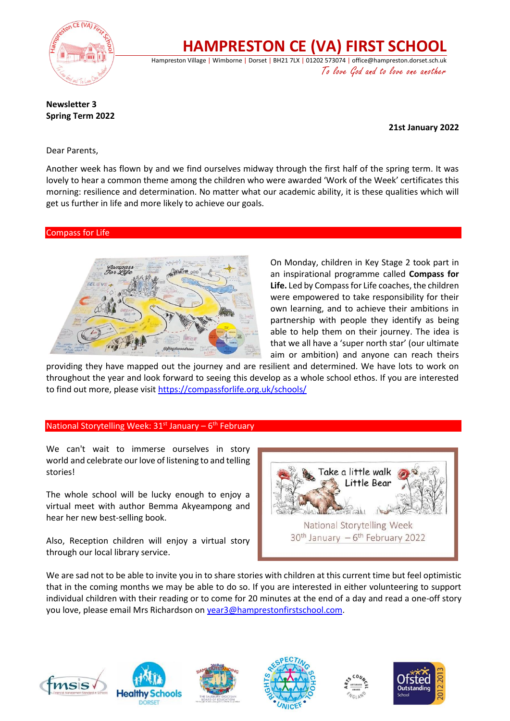

**HAMPRESTON CE (VA) FIRST SCHOOL**

Hampreston Village | Wimborne | Dorset | BH21 7LX | 01202 573074 | office@hampreston.dorset.sch.uk To love God and to love one another

**Newsletter 3 Spring Term 2022**

 **21st January 2022**

Dear Parents,

Another week has flown by and we find ourselves midway through the first half of the spring term. It was lovely to hear a common theme among the children who were awarded 'Work of the Week' certificates this morning: resilience and determination. No matter what our academic ability, it is these qualities which will get us further in life and more likely to achieve our goals.

### Compass for Life



On Monday, children in Key Stage 2 took part in an inspirational programme called **Compass for Life.** Led by Compass for Life coaches, the children were empowered to take responsibility for their own learning, and to achieve their ambitions in partnership with people they identify as being able to help them on their journey. The idea is that we all have a 'super north star' (our ultimate aim or ambition) and anyone can reach theirs

providing they have mapped out the journey and are resilient and determined. We have lots to work on throughout the year and look forward to seeing this develop as a whole school ethos. If you are interested to find out more, please visi[t https://compassforlife.org.uk/schools/](https://compassforlife.org.uk/schools/)

## National Storytelling Week: 31<sup>st</sup> January - 6<sup>th</sup> February

We can't wait to immerse ourselves in story world and celebrate our love of listening to and telling stories!

The whole school will be lucky enough to enjoy a virtual meet with author Bemma Akyeampong and hear her new best-selling book.

Also, Reception children will enjoy a virtual story through our local library service.



We are sad not to be able to invite you in to share stories with children at this current time but feel optimistic that in the coming months we may be able to do so. If you are interested in either volunteering to support individual children with their reading or to come for 20 minutes at the end of a day and read a one-off story you love, please email Mrs Richardson o[n year3@hamprestonfirstschool.com.](mailto:year3@hamprestonfirstschool.com)









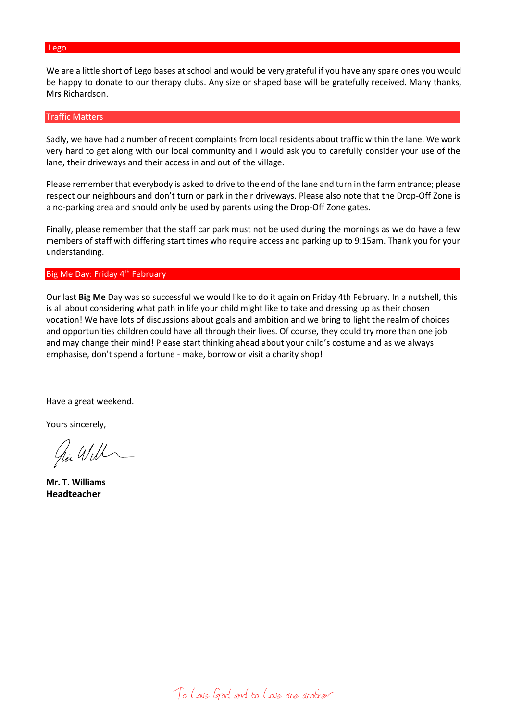#### Lego

We are a little short of Lego bases at school and would be very grateful if you have any spare ones you would be happy to donate to our therapy clubs. Any size or shaped base will be gratefully received. Many thanks, Mrs Richardson.

#### Traffic Matters

Sadly, we have had a number of recent complaints from local residents about traffic within the lane. We work very hard to get along with our local community and I would ask you to carefully consider your use of the lane, their driveways and their access in and out of the village.

Please remember that everybody is asked to drive to the end of the lane and turn in the farm entrance; please respect our neighbours and don't turn or park in their driveways. Please also note that the Drop-Off Zone is a no-parking area and should only be used by parents using the Drop-Off Zone gates.

Finally, please remember that the staff car park must not be used during the mornings as we do have a few members of staff with differing start times who require access and parking up to 9:15am. Thank you for your understanding.

#### Big Me Day: Friday 4<sup>th</sup> February

Our last **Big Me** Day was so successful we would like to do it again on Friday 4th February. In a nutshell, this is all about considering what path in life your child might like to take and dressing up as their chosen vocation! We have lots of discussions about goals and ambition and we bring to light the realm of choices and opportunities children could have all through their lives. Of course, they could try more than one job and may change their mind! Please start thinking ahead about your child's costume and as we always emphasise, don't spend a fortune - make, borrow or visit a charity shop!

Have a great weekend.

Yours sincerely,

hi Will

**Mr. T. Williams Headteacher**

To Love God and to Love one another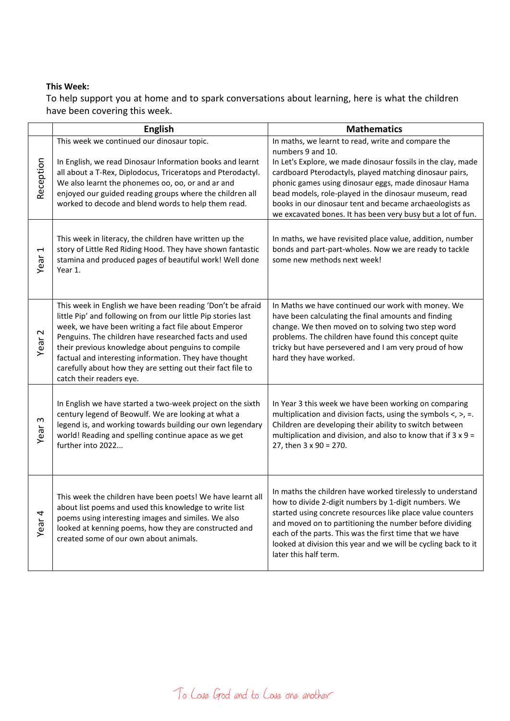## **This Week:**

To help support you at home and to spark conversations about learning, here is what the children have been covering this week.

|                                  | <b>English</b>                                                                                                                                                                                                                                                                                                                                                                                                                                          | <b>Mathematics</b>                                                                                                                                                                                                                                                                                                                                                                                                                            |
|----------------------------------|---------------------------------------------------------------------------------------------------------------------------------------------------------------------------------------------------------------------------------------------------------------------------------------------------------------------------------------------------------------------------------------------------------------------------------------------------------|-----------------------------------------------------------------------------------------------------------------------------------------------------------------------------------------------------------------------------------------------------------------------------------------------------------------------------------------------------------------------------------------------------------------------------------------------|
| Reception                        | This week we continued our dinosaur topic.<br>In English, we read Dinosaur Information books and learnt<br>all about a T-Rex, Diplodocus, Triceratops and Pterodactyl.<br>We also learnt the phonemes oo, oo, or and ar and<br>enjoyed our guided reading groups where the children all<br>worked to decode and blend words to help them read.                                                                                                          | In maths, we learnt to read, write and compare the<br>numbers 9 and 10.<br>In Let's Explore, we made dinosaur fossils in the clay, made<br>cardboard Pterodactyls, played matching dinosaur pairs,<br>phonic games using dinosaur eggs, made dinosaur Hama<br>bead models, role-played in the dinosaur museum, read<br>books in our dinosaur tent and became archaeologists as<br>we excavated bones. It has been very busy but a lot of fun. |
| $\overline{\phantom{0}}$<br>Year | This week in literacy, the children have written up the<br>story of Little Red Riding Hood. They have shown fantastic<br>stamina and produced pages of beautiful work! Well done<br>Year 1.                                                                                                                                                                                                                                                             | In maths, we have revisited place value, addition, number<br>bonds and part-part-wholes. Now we are ready to tackle<br>some new methods next week!                                                                                                                                                                                                                                                                                            |
| $\mathbf{\Omega}$<br>Year        | This week in English we have been reading 'Don't be afraid<br>little Pip' and following on from our little Pip stories last<br>week, we have been writing a fact file about Emperor<br>Penguins. The children have researched facts and used<br>their previous knowledge about penguins to compile<br>factual and interesting information. They have thought<br>carefully about how they are setting out their fact file to<br>catch their readers eye. | In Maths we have continued our work with money. We<br>have been calculating the final amounts and finding<br>change. We then moved on to solving two step word<br>problems. The children have found this concept quite<br>tricky but have persevered and I am very proud of how<br>hard they have worked.                                                                                                                                     |
| Year <sub>3</sub>                | In English we have started a two-week project on the sixth<br>century legend of Beowulf. We are looking at what a<br>legend is, and working towards building our own legendary<br>world! Reading and spelling continue apace as we get<br>further into 2022                                                                                                                                                                                             | In Year 3 this week we have been working on comparing<br>multiplication and division facts, using the symbols $\lt$ , $\gt$ , =.<br>Children are developing their ability to switch between<br>multiplication and division, and also to know that if $3 \times 9 =$<br>27, then 3 x 90 = 270.                                                                                                                                                 |
| Year <sub>4</sub>                | This week the children have been poets! We have learnt all<br>about list poems and used this knowledge to write list<br>poems using interesting images and similes. We also<br>looked at kenning poems, how they are constructed and<br>created some of our own about animals.                                                                                                                                                                          | In maths the children have worked tirelessly to understand<br>how to divide 2-digit numbers by 1-digit numbers. We<br>started using concrete resources like place value counters<br>and moved on to partitioning the number before dividing<br>each of the parts. This was the first time that we have<br>looked at division this year and we will be cycling back to it<br>later this half term.                                             |

To Love God and to Love one another